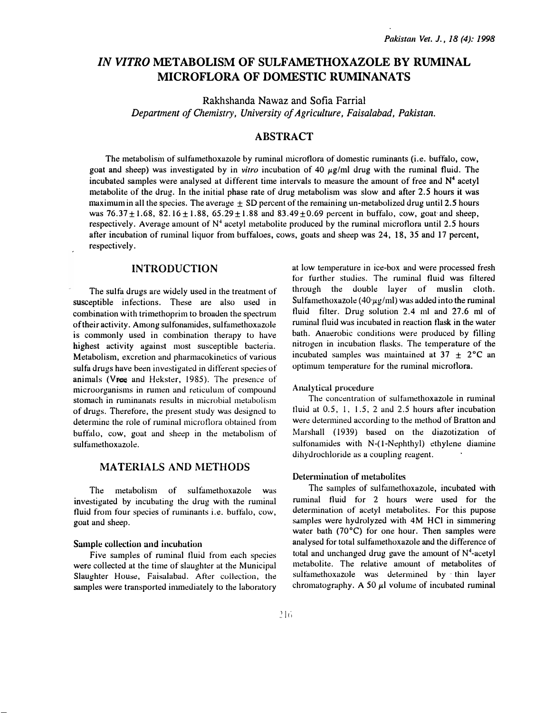# IN VITRO METABOLISM OF SULFAMETHOXAZOLE BY RUMINAL MICROFLORA OF DOMESTIC RUMINANATS

Rakhshanda Nawaz and Sofia Farrial Department of Chemistry, University of Agriculture, Faisalabad, Pakistan.

## ABSTRACT

The metabolism of sulfamethoxazole by ruminal microflora of domestic ruminants (i.e. buffalo, cow, goat and sheep) was investigated by in vitro incubation of 40  $\mu$ g/ml drug with the ruminal fluid. The incubated samples were analysed at different time intervals to measure the amount of free and  $N<sup>4</sup>$  acetyl metabolite of the drug. In the initial phase rate of drug metabolism was slow and after 2.5 hours it was maximum in all the species. The average  $\pm$  SD percent of the remaining un-metabolized drug until 2.5 hours was  $76.37 \pm 1.68$ ,  $82.16 \pm 1.88$ ,  $65.29 \pm 1.88$  and  $83.49 \pm 0.69$  percent in buffalo, cow, goat and sheep, respectively. Average amount of  $N<sup>4</sup>$  acetyl metabolite produced by the ruminal microflora until 2.5 hours after incubation of ruminal liquor from buffaloes, cows, goats and sheep was 24, 18, 35 and 17 percent, respectively.

#### INTRODUCTION

The sulfa drugs are widely used in the treatment of susceptible infections. These are also used in combination with trimethoprim to broaden the spectrum of their activity. Among sulfonamides, sulfamethoxazole is commonly used in combination therapy to have highest activity against most susceptible bacteria. Metabolism, excretion and pharmacokinetics of various sulfa drugs have been investigated in different species of animals (Vree and Hekster, 1985). The presence of microorganisms in rumen and reticulum of compound stomach in ruminanats results in microbial metabolism of drugs. Therefore, the present study was designed to determine the role of ruminal microtlora obtained from buffalo, cow, goat and sheep in the metabolism of sulfamethoxazole.

### MATERIALS AND METHODS

The metabolism of sultamethoxazole was investigated by incubating the drug with the ruminal fluid from four species of ruminants i.e. buffalo, cow, goat and sheep.

#### Sample collection and incubation

Five samples of ruminal fluid from each species were collected at the time of slaughter at the Municipal Slaughter House, Faisalabad. After collection, the samples were transported immediately to the laboratory at low t�mperature in ice-box and were processed fresh for further studies. The ruminal fluid was filtered through the double layer of muslin cloth. Sulfamethoxazole (40· $\mu$ g/ml) was added into the ruminal fluid filter. Drug solution 2.4 ml and 27.6 ml of ruminal fluid was incubated in reaction flask in the water bath. Anaerobic conditions were produced by filling nitrogen in incubation flasks. The temperature of the incubated samples was maintained at  $37 \pm 2$ °C an optimum temperature for the ruminal microtlora.

#### Analytical procedun�

The concentration of sulfamethoxazole in ruminal fluid at  $0.5$ , 1, 1.5, 2 and 2.5 hours after incubation were determined according to the method of Bratton and Marshall (1939) based on the diazotization of sulfonamides with  $N-(1-Nephthyl)$  ethylene diamine dihydrochloride as a coupling reagent.

#### Determination of metabolites

The samples of sulfamethoxazole, incubated with ruminal fluid for 2 hours were used for the determination of acetyl metabolites. For this pupose samples were hydrolyzed with 4M HCI in simmering water bath (70°C) for one hour. Then samples were analysed for total sulfamethoxazole and the difference of total and unchanged drug gave the amount of  $N<sup>4</sup>$ -acetyl metabolite. The relative amount of metabolites of sulfamethoxazole was determined by -thin layer chromatography. A 50  $\mu$ l volume of incubated ruminal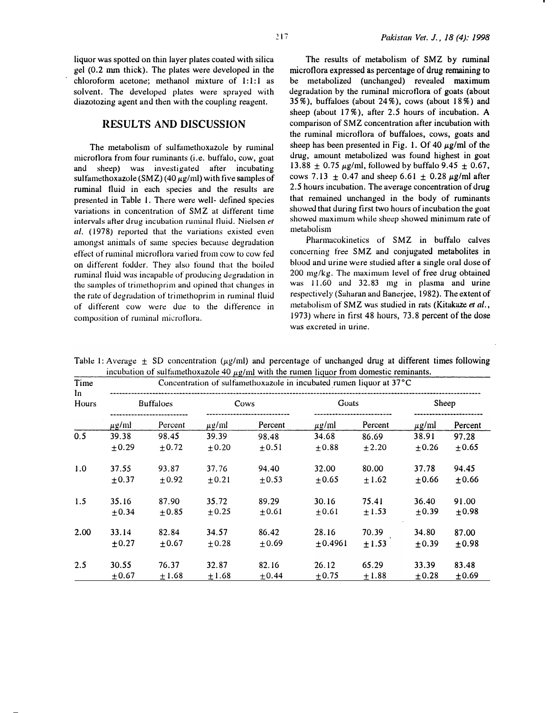liquor was spotted on thin layer plates coated with silica gel (0.2 nun thick). The plates were developed in the chloroform acetone; methanol mixture of 1:1:1 as solvent. The developed plates were sprayed with diazotozing agent and then with the coupling reagent.

### RESULTS AND DISCUSSION

The metabolism of sulfamethoxazole by rumina) microtlora from four ruminants (i.e. buffalo, cow, goat and sheep) was investigated after incubating sulfamethoxazole (SMZ) (40  $\mu$ g/ml) with five samples of ruminal tluid in each species and the results are presented in Table I. There were well- defined species variations in concentration of SMZ at different time intervals after drug incubation ruminal fluid. Nielsen et al. (1978) reported that the variations existed even amongst unimals of same species because degradation etfect of ruminal microtlora varied from cow to cow fed on different fodder. They also found that the boiled ruminal fluid was incapable of producing degradation in the samples of trimethoprim and opined that changes in the rate of degradation of trimethoprim in ruminal fluid of different cow were due to the difference in composition of ruminal microtlora.

The results of metabolism of SMZ by ruminal microtlora expressed as percentage of drug remaining to be metabolized (unchanged) revealed maximum degradation by the ruminal microflora of goats (about 35%), buffaloes (about 24%), cows (about 18%) and sheep (about 17% ), after 2.5 hours of incubation. A comparison of SMZ concentration after incubation with the ruminal microtlora of buffaloes, cows, goats and sheep has been presented in Fig. 1. Of 40  $\mu$ g/ml of the drug, amount metabolized was found highest in goat 13.88  $\pm$  0.75  $\mu$ g/ml, followed by buffalo 9.45  $\pm$  0.67, cows 7.13  $\pm$  0.47 and sheep 6.61  $\pm$  0.28  $\mu$ g/ml after 2.5 hours incubation. The average concentration of drug that remained unchanged in the body of ruminants showed that during first two hours of incubation the goat showed maximum while sheep showed minimum rate of metabolism

Pharmacokinetics of SMZ in buffalo calves concerning free SMZ and conjugated metabolites in blood and urine were studied after a single oral dose of 200 mg/kg. The maximum level of free drug obtained was 11.60 and 32.83 mg in plasma and urine respectively (Saharan and Banerjee, 1982). The extent of metabolism of SMZ was studied in rats (Kitakaze et al., 1973) where in tirst 48 hours, 73.8 percent of the dose was excreted in urine.

| Time<br>ln.<br>Hours | Concentration of sulfamethoxazole in incubated rumen liquor at 37°C |            |            |            |            |            |            |            |
|----------------------|---------------------------------------------------------------------|------------|------------|------------|------------|------------|------------|------------|
|                      | <b>Buffaloes</b>                                                    |            | Cows       |            | Goats      |            | Sheep      |            |
|                      | $\mu$ g/ml                                                          | Percent    | $\mu$ g/ml | Percent    | $\mu$ g/ml | Percent    | $\mu$ g/ml | Percent    |
| 0.5                  | 39.38                                                               | 98.45      | 39.39      | 98.48      | 34.68      | 86.69      | 38.91      | 97.28      |
|                      | $+0.29$                                                             | $+0.72$    | $\pm 0.20$ | $+0.51$    | $\pm 0.88$ | ±2.20      | $\pm 0.26$ | $\pm 0.65$ |
| 1.0                  | 37.55                                                               | 93.87      | 37.76      | 94.40      | 32.00      | 80.00      | 37.78      | 94.45      |
|                      | $+0.37$                                                             | $+0.92$    | $+0.21$    | $+0.53$    | $+0.65$    | ±1.62      | $+0.66$    | $\pm 0.66$ |
| 1.5                  | 35.16                                                               | 87.90      | 35.72      | 89.29      | 30.16      | 75.41      | 36.40      | 91.00      |
|                      | $+0.34$                                                             | $+0.85$    | $+0.25$    | $\pm 0.61$ | $\pm 0.61$ | ±1.53      | $+0.39$    | $\pm 0.98$ |
| 2.00                 | 33.14                                                               | 82.84      | 34.57      | 86.42      | 28.16      | 70.39      | 34.80      | 87.00      |
|                      | $\pm 0.27$                                                          | $\pm 0.67$ | $\pm 0.28$ | $\pm 0.69$ | ±0.4961    | $\pm 1.53$ | $\pm 0.39$ | ±0.98      |
| 2.5                  | 30.55                                                               | 76.37      | 32.87      | 82.16      | 26.12      | 65.29      | 33.39      | 83.48      |
|                      | $\pm 0.67$                                                          | $\pm 1.68$ | ±1.68      | $\pm 0.44$ | $+0.75$    | ±1.88      | $\pm$ 0.28 | ±0.69      |

Table 1: Average  $\pm$  SD concentration ( $\mu$ g/ml) and percentage of unchanged drug at different times following incubation of sulfamethoxazole 40  $\mu$ g/ml with the rumen liquor from domestic reminants.